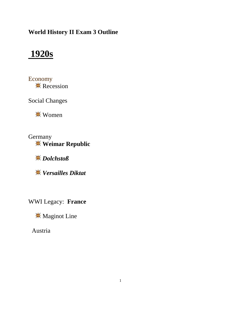### **World History II Exam 3 Outline**

## **1920s**

Economy  $\mathbb{R}$  Recession

Social Changes

**<del></del>**₩ Women

**Germany Weimar Republic**

*Dolchstoß*

*Versailles Diktat*

WWI Legacy: **France**

**Maginot Line** 

Austria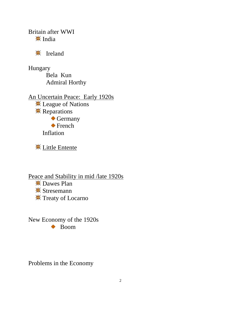Britain after WWI  $\frac{1}{2}$  India

**W** Ireland

Hungary Bela Kun Admiral Horthy

An Uncertain Peace: Early 1920s **<del></del>** League of Nations **K** Reparations Germany **◆ French** Inflation

**K** Little Entente

Peace and Stability in mid /late 1920s **EX** Dawes Plan **\*** Stresemann

**\*** Treaty of Locarno

New Economy of the 1920s ◆ Boom

Problems in the Economy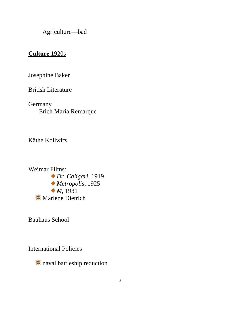Agriculture—bad

### **Culture** 1920s

Josephine Baker

British Literature

**Germany** Erich Maria Remarque

Käthe Kollwitz

Weimar Films: *Dr. Caligari*, 1919 *Metropolis*, 1925 *M*, 1931 **Marlene Dietrich** 

Bauhaus School

International Policies

naval battleship reduction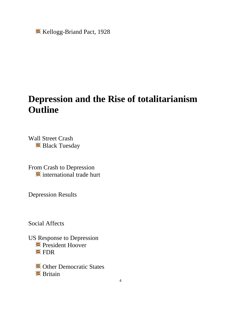**K** Kellogg-Briand Pact, 1928

## **Depression and the Rise of totalitarianism Outline**

Wall Street Crash **Black Tuesday** 

From Crash to Depression **international trade hurt** 

Depression Results

Social Affects

US Response to Depression **\*\*** President Hoover **<del></del>** FDR

> **<del></del>** ⊙ther Democratic States **<del>☀</del>** Britain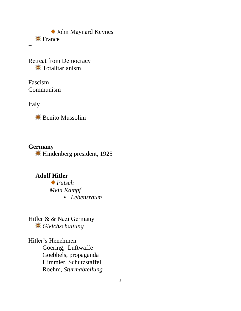John Maynard Keynes  $\frac{1}{25}$  France

=

Retreat from Democracy **<del></u>** Totalitarianism</del>

Fascism Communism

Italy

**\*\*** Benito Mussolini

#### **Germany**

Hindenberg president, 1925

### **Adolf Hitler**

*Putsch Mein Kampf* • *Lebensraum*

Hitler & & Nazi Germany *Gleichschaltung*

Hitler's Henchmen Goering, Luftwaffe Goebbels, propaganda Himmler, Schutzstaffel Roehm, *Sturmabteilung*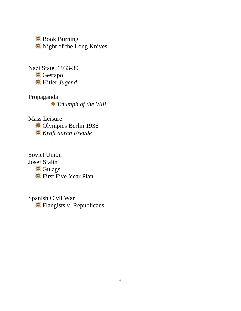Book Burning Night of the Long Knives

Nazi State, 1933-39 **※ Gestapo** Hitler *Jugend*

Propaganda *Triumph of the Will*

Mass Leisure Olympics Berlin 1936 *Kraft durch Freude*

Soviet Union Josef Stalin **<del></del>** Gulags First Five Year Plan

Spanish Civil War **K** Flangists v. Republicans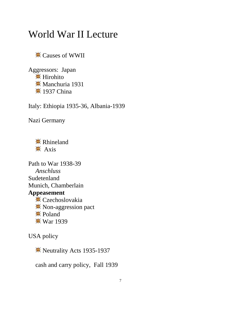## World War II Lecture

Causes of WWII

Aggressors: Japan **<del></u>**¥ Hirohito</del> **W** Manchuria 1931 **<del></del>** 1937 China

Italy: Ethiopia 1935-36, Albania-1939

Nazi Germany

**<del></del>** Rhineland  $\frac{4}{10}$  Axis

Path to War 1938-39 *Anschluss* Sudetenland Munich, Chamberlain **Appeasement** Czechoslovakia **<sup><del></del>***★* **Non-aggression pact**</sup>  $\frac{1}{2}$  Poland  $\frac{14}{15}$  **War 1939** 

USA policy

Neutrality Acts 1935-1937

cash and carry policy, Fall 1939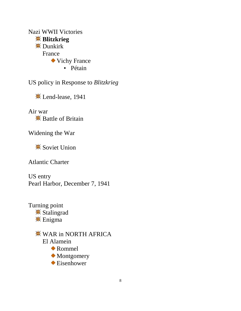Nazi WWII Victories **Blitzkrieg** Dunkirk France Vichy France • Pétain

US policy in Response to *Blitzkrieg*

**K** Lend-lease, 1941

Air war  $\frac{1}{2}$  Battle of Britain

Widening the War

**<del></del>** Soviet Union

Atlantic Charter

US entry Pearl Harbor, December 7, 1941

Turning point **<del></del>** Stalingrad  $\frac{1}{2}$  Enigma

> **WAR in NORTH AFRICA** El Alamein Rommel  $\bullet$  Montgomery Eisenhower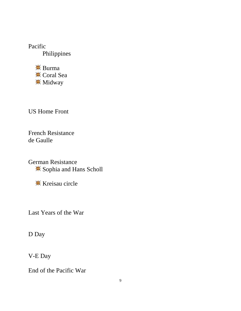Pacific Philippines

> $\frac{1}{2}$  Burma Coral Sea **\*** Midway

US Home Front

French Resistance de Gaulle

German Resistance Sophia and Hans Scholl

**K** Kreisau circle

Last Years of the War

D Day

V-E Day

End of the Pacific War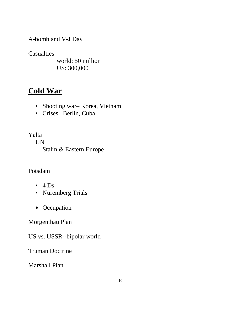A-bomb and V-J Day

**Casualties** 

world: 50 million US: 300,000

### **Cold War**

- Shooting war– Korea, Vietnam
- Crises– Berlin, Cuba

Yalta

UN Stalin & Eastern Europe

### Potsdam

- $\cdot$  4 Ds
- Nuremberg Trials
- Occupation

Morgenthau Plan

US vs. USSR--bipolar world

Truman Doctrine

Marshall Plan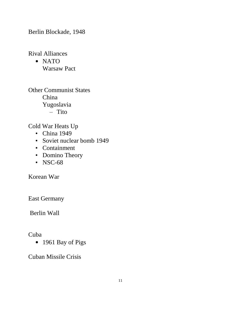Berlin Blockade, 1948

Rival Alliances

• NATO Warsaw Pact

Other Communist States China Yugoslavia – Tito

Cold War Heats Up

- China 1949
- Soviet nuclear bomb 1949
- Containment
- Domino Theory
- NSC-68

Korean War

East Germany

Berlin Wall

Cuba

• 1961 Bay of Pigs

Cuban Missile Crisis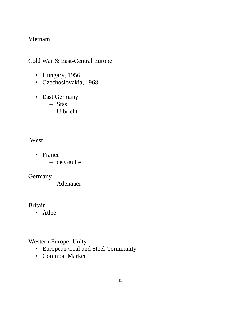#### Vietnam

#### Cold War & East-Central Europe

- Hungary, 1956
- Czechoslovakia, 1968
- East Germany
	- Stasi
	- Ulbricht

#### West

- France
	- de Gaulle

#### Germany

– Adenauer

#### Britain

• Atlee

#### Western Europe: Unity

- European Coal and Steel Community
- Common Market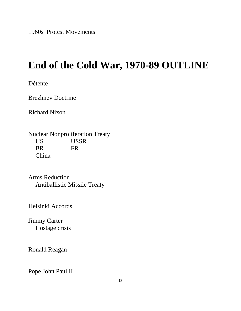1960s Protest Movements

# **End of the Cold War, 1970-89 OUTLINE**

Détente

Brezhnev Doctrine

Richard Nixon

Nuclear Nonproliferation Treaty US USSR BR FR China

Arms Reduction Antiballistic Missile Treaty

Helsinki Accords

Jimmy Carter Hostage crisis

Ronald Reagan

Pope John Paul II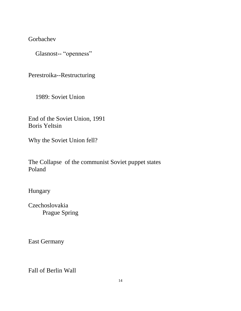Gorbachev

Glasnost-- "openness"

Perestroika--Restructuring

1989: Soviet Union

End of the Soviet Union, 1991 Boris Yeltsin

Why the Soviet Union fell?

The Collapse of the communist Soviet puppet states Poland

Hungary

Czechoslovakia Prague Spring

East Germany

Fall of Berlin Wall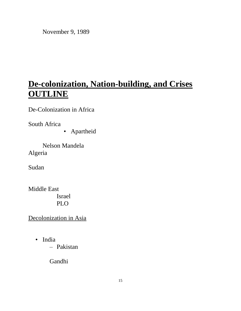November 9, 1989

## **De-colonization, Nation-building, and Crises OUTLINE**

De-Colonization in Africa

South Africa

• Apartheid

Nelson Mandela Algeria

Sudan

Middle East Israel PLO

Decolonization in Asia

• India

– Pakistan

Gandhi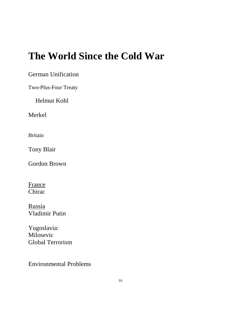# **The World Since the Cold War**

German Unification

Two-Plus-Four Treaty

Helmut Kohl

Merkel

Britain

Tony Blair

Gordon Brown

France Chirac

Russia Vladimir Putin

Yugoslavia: Milosevic Global Terrorism

Environmental Problems